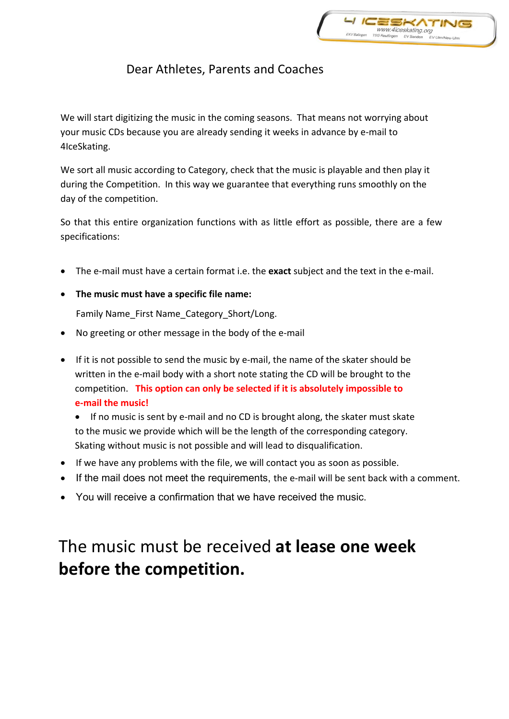

## Dear Athletes, Parents and Coaches

We will start digitizing the music in the coming seasons. That means not worrying about your music CDs because you are already sending it weeks in advance by e-mail to 4IceSkating.

We sort all music according to Category, check that the music is playable and then play it during the Competition. In this way we guarantee that everything runs smoothly on the day of the competition.

So that this entire organization functions with as little effort as possible, there are a few specifications:

- The e-mail must have a certain format i.e. the **exact** subject and the text in the e-mail.
- **The music must have a specific file name:**

Family Name\_First Name\_Category\_Short/Long.

- No greeting or other message in the body of the e-mail
- If it is not possible to send the music by e-mail, the name of the skater should be written in the e-mail body with a short note stating the CD will be brought to the competition. **This option can only be selected if it is absolutely impossible to e-mail the music!**

 If no music is sent by e-mail and no CD is brought along, the skater must skate to the music we provide which will be the length of the corresponding category. Skating without music is not possible and will lead to disqualification.

- If we have any problems with the file, we will contact you as soon as possible.
- If the mail does not meet the requirements, the e-mail will be sent back with a comment.
- You will receive a confirmation that we have received the music.

## The music must be received **at lease one week before the competition.**